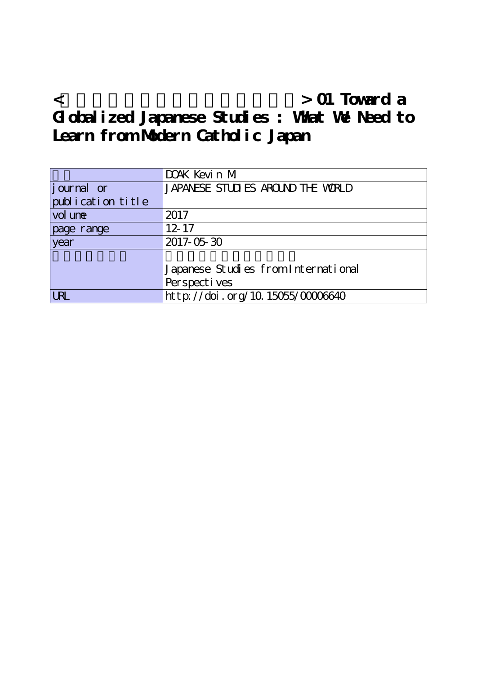**<グローバルな視野からの日本研究> 01 Toward a Globalized Japanese Studies : What We Need to Learn from Modern Catholic Japan**

|                   | DOAK Kevin M                        |
|-------------------|-------------------------------------|
| journal or        | JAPANESE STUDIES AROUND THE WRILD   |
| publication title |                                     |
| vol une           | 2017                                |
| page range        | $12 - 17$                           |
| year              | 2017-05-30                          |
|                   |                                     |
|                   | Japanese Studies from International |
|                   | Perspectives                        |
| <b>URL</b>        | http://doi.org/10.15055/0000640     |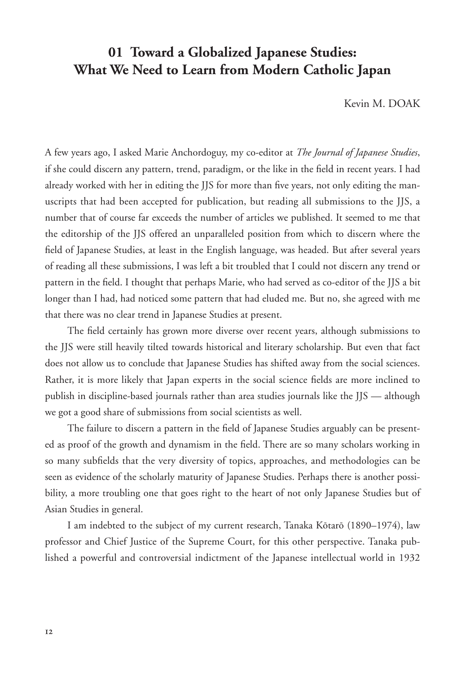## **01 Toward a Globalized Japanese Studies: What We Need to Learn from Modern Catholic Japan**

Kevin M. DOAK

A few years ago, I asked Marie Anchordoguy, my co-editor at *The Journal of Japanese Studies*, if she could discern any pattern, trend, paradigm, or the like in the field in recent years. I had already worked with her in editing the JJS for more than five years, not only editing the manuscripts that had been accepted for publication, but reading all submissions to the JJS, a number that of course far exceeds the number of articles we published. It seemed to me that the editorship of the JJS offered an unparalleled position from which to discern where the field of Japanese Studies, at least in the English language, was headed. But after several years of reading all these submissions, I was left a bit troubled that I could not discern any trend or pattern in the field. I thought that perhaps Marie, who had served as co-editor of the JJS a bit longer than I had, had noticed some pattern that had eluded me. But no, she agreed with me that there was no clear trend in Japanese Studies at present.

The field certainly has grown more diverse over recent years, although submissions to the JJS were still heavily tilted towards historical and literary scholarship. But even that fact does not allow us to conclude that Japanese Studies has shifted away from the social sciences. Rather, it is more likely that Japan experts in the social science fields are more inclined to publish in discipline-based journals rather than area studies journals like the JJS — although we got a good share of submissions from social scientists as well.

The failure to discern a pattern in the field of Japanese Studies arguably can be presented as proof of the growth and dynamism in the field. There are so many scholars working in so many subfields that the very diversity of topics, approaches, and methodologies can be seen as evidence of the scholarly maturity of Japanese Studies. Perhaps there is another possibility, a more troubling one that goes right to the heart of not only Japanese Studies but of Asian Studies in general.

I am indebted to the subject of my current research, Tanaka Kōtarō (1890–1974), law professor and Chief Justice of the Supreme Court, for this other perspective. Tanaka published a powerful and controversial indictment of the Japanese intellectual world in 1932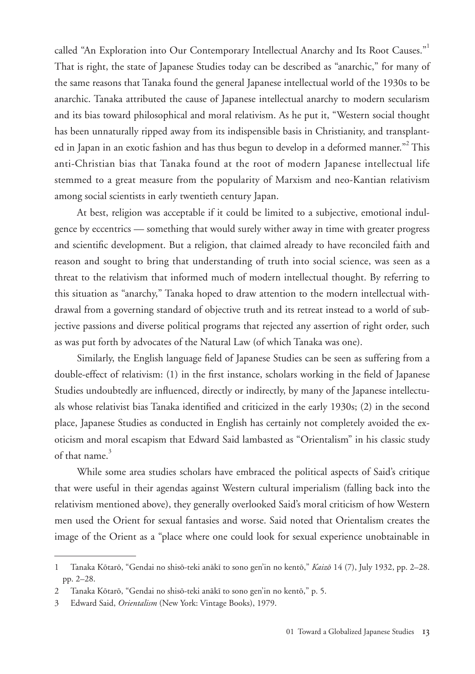called "An Exploration into Our Contemporary Intellectual Anarchy and Its Root Causes."<sup>1</sup> That is right, the state of Japanese Studies today can be described as "anarchic," for many of the same reasons that Tanaka found the general Japanese intellectual world of the 1930s to be anarchic. Tanaka attributed the cause of Japanese intellectual anarchy to modern secularism and its bias toward philosophical and moral relativism. As he put it, "Western social thought has been unnaturally ripped away from its indispensible basis in Christianity, and transplanted in Japan in an exotic fashion and has thus begun to develop in a deformed manner."<sup>2</sup> This anti-Christian bias that Tanaka found at the root of modern Japanese intellectual life stemmed to a great measure from the popularity of Marxism and neo-Kantian relativism among social scientists in early twentieth century Japan.

At best, religion was acceptable if it could be limited to a subjective, emotional indulgence by eccentrics — something that would surely wither away in time with greater progress and scientific development. But a religion, that claimed already to have reconciled faith and reason and sought to bring that understanding of truth into social science, was seen as a threat to the relativism that informed much of modern intellectual thought. By referring to this situation as "anarchy," Tanaka hoped to draw attention to the modern intellectual withdrawal from a governing standard of objective truth and its retreat instead to a world of subjective passions and diverse political programs that rejected any assertion of right order, such as was put forth by advocates of the Natural Law (of which Tanaka was one).

Similarly, the English language field of Japanese Studies can be seen as suffering from a double-effect of relativism: (1) in the first instance, scholars working in the field of Japanese Studies undoubtedly are influenced, directly or indirectly, by many of the Japanese intellectuals whose relativist bias Tanaka identified and criticized in the early 1930s; (2) in the second place, Japanese Studies as conducted in English has certainly not completely avoided the exoticism and moral escapism that Edward Said lambasted as "Orientalism" in his classic study of that name  $3$ 

While some area studies scholars have embraced the political aspects of Said's critique that were useful in their agendas against Western cultural imperialism (falling back into the relativism mentioned above), they generally overlooked Said's moral criticism of how Western men used the Orient for sexual fantasies and worse. Said noted that Orientalism creates the image of the Orient as a "place where one could look for sexual experience unobtainable in

<sup>1</sup> Tanaka Kōtarō, "Gendai no shisō-teki anākī to sono gen'in no kentō," *Kaizō* 14 (7), July 1932, pp. 2–28. pp. 2–28.

<sup>2</sup> Tanaka Kōtarō, "Gendai no shisō-teki anākī to sono gen'in no kentō," p. 5.

<sup>3</sup> Edward Said, *Orientalism* (New York: Vintage Books), 1979.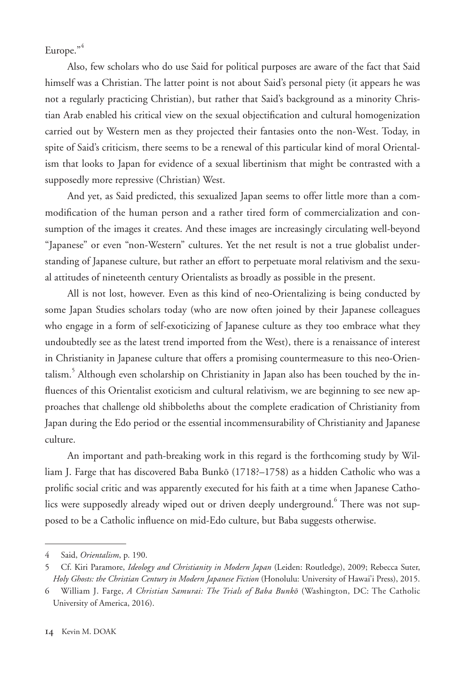Europe."<sup>4</sup>

Also, few scholars who do use Said for political purposes are aware of the fact that Said himself was a Christian. The latter point is not about Said's personal piety (it appears he was not a regularly practicing Christian), but rather that Said's background as a minority Christian Arab enabled his critical view on the sexual objectification and cultural homogenization carried out by Western men as they projected their fantasies onto the non-West. Today, in spite of Said's criticism, there seems to be a renewal of this particular kind of moral Orientalism that looks to Japan for evidence of a sexual libertinism that might be contrasted with a supposedly more repressive (Christian) West.

And yet, as Said predicted, this sexualized Japan seems to offer little more than a commodification of the human person and a rather tired form of commercialization and consumption of the images it creates. And these images are increasingly circulating well-beyond "Japanese" or even "non-Western" cultures. Yet the net result is not a true globalist understanding of Japanese culture, but rather an effort to perpetuate moral relativism and the sexual attitudes of nineteenth century Orientalists as broadly as possible in the present.

All is not lost, however. Even as this kind of neo-Orientalizing is being conducted by some Japan Studies scholars today (who are now often joined by their Japanese colleagues who engage in a form of self-exoticizing of Japanese culture as they too embrace what they undoubtedly see as the latest trend imported from the West), there is a renaissance of interest in Christianity in Japanese culture that offers a promising countermeasure to this neo-Orientalism.<sup>5</sup> Although even scholarship on Christianity in Japan also has been touched by the influences of this Orientalist exoticism and cultural relativism, we are beginning to see new approaches that challenge old shibboleths about the complete eradication of Christianity from Japan during the Edo period or the essential incommensurability of Christianity and Japanese culture.

An important and path-breaking work in this regard is the forthcoming study by William J. Farge that has discovered Baba Bunkō (1718?–1758) as a hidden Catholic who was a prolific social critic and was apparently executed for his faith at a time when Japanese Catholics were supposedly already wiped out or driven deeply underground. <sup>6</sup> There was not supposed to be a Catholic influence on mid-Edo culture, but Baba suggests otherwise.

<sup>4</sup> Said, *Orientalism*, p. 190.

<sup>5</sup> Cf. Kiri Paramore, *Ideology and Christianity in Modern Japan* (Leiden: Routledge), 2009; Rebecca Suter, *Holy Ghosts: the Christian Century in Modern Japanese Fiction* (Honolulu: University of Hawai'i Press), 2015.

<sup>6</sup> William J. Farge, *A Christian Samurai: The Trials of Baba Bunkō* (Washington, DC: The Catholic University of America, 2016).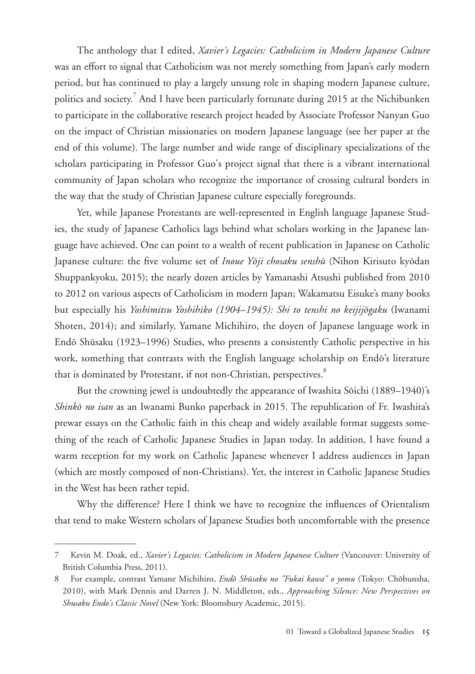The anthology that I edited, *Xavier's Legacies: Catholicism in Modern Japanese Culture* was an effort to signal that Catholicism was not merely something from Japan's early modern period, but has continued to play a largely unsung role in shaping modern Japanese culture, politics and society.<sup>7</sup> And I have been particularly fortunate during 2015 at the Nichibunken to participate in the collaborative research project headed by Associate Professor Nanyan Guo on the impact of Christian missionaries on modern Japanese language (see her paper at the end of this volume). The large number and wide range of disciplinary specializations of the scholars participating in Professor Guo's project signal that there is a vibrant international community of Japan scholars who recognize the importance of crossing cultural borders in the way that the study of Christian Japanese culture especially foregrounds.

Yet, while Japanese Protestants are well-represented in English language Japanese Studies, the study of Japanese Catholics lags behind what scholars working in the Japanese language have achieved. One can point to a wealth of recent publication in Japanese on Catholic Japanese culture: the five volume set of *Inoue Yōji chosaku senshū* (Nihon Kirisuto kyōdan Shuppankyoku, 2015); the nearly dozen articles by Yamanashi Atsushi published from 2010 to 2012 on various aspects of Catholicism in modern Japan; Wakamatsu Eisuke's many books but especially his *Yoshimitsu Yoshihiko (1904–1945): Shi to tenshi no keijijōgaku* (Iwanami Shoten, 2014); and similarly, Yamane Michihiro, the doyen of Japanese language work in Endō Shūsaku (1923–1996) Studies, who presents a consistently Catholic perspective in his work, something that contrasts with the English language scholarship on Endō's literature that is dominated by Protestant, if not non-Christian, perspectives.<sup>8</sup>

But the crowning jewel is undoubtedly the appearance of Iwashita Sōichi (1889–1940)'s *Shinkō no isan* as an Iwanami Bunko paperback in 2015. The republication of Fr. Iwashita's prewar essays on the Catholic faith in this cheap and widely available format suggests something of the reach of Catholic Japanese Studies in Japan today. In addition, I have found a warm reception for my work on Catholic Japanese whenever I address audiences in Japan (which are mostly composed of non-Christians). Yet, the interest in Catholic Japanese Studies in the West has been rather tepid.

Why the difference? Here I think we have to recognize the influences of Orientalism that tend to make Western scholars of Japanese Studies both uncomfortable with the presence

<sup>7</sup> Kevin M. Doak, ed., *Xavier's Legacies: Catholicism in Modern Japanese Culture* (Vancouver: University of British Columbia Press, 2011).

<sup>8</sup> For example, contrast Yamane Michihiro, *Endō Shūsaku no "Fukai kawa" o yomu* (Tokyo: Chōbunsha, 2010), with Mark Dennis and Darren J. N. Middleton, eds., *Approaching Silence: New Perspectives on Shusaku Endo's Classic Novel* (New York: Bloomsbury Academic, 2015).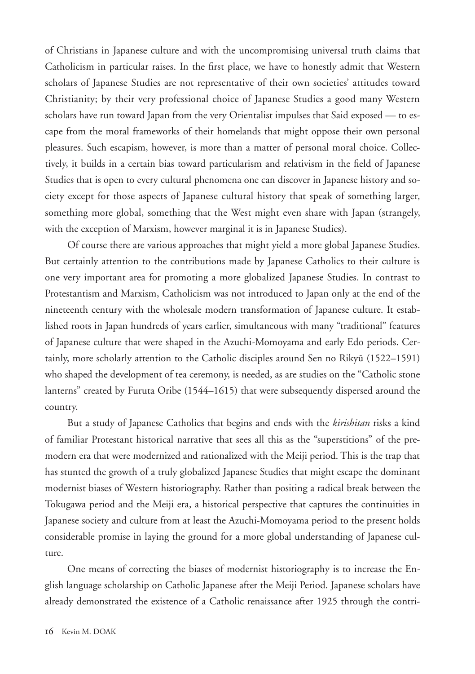of Christians in Japanese culture and with the uncompromising universal truth claims that Catholicism in particular raises. In the first place, we have to honestly admit that Western scholars of Japanese Studies are not representative of their own societies' attitudes toward Christianity; by their very professional choice of Japanese Studies a good many Western scholars have run toward Japan from the very Orientalist impulses that Said exposed — to escape from the moral frameworks of their homelands that might oppose their own personal pleasures. Such escapism, however, is more than a matter of personal moral choice. Collectively, it builds in a certain bias toward particularism and relativism in the field of Japanese Studies that is open to every cultural phenomena one can discover in Japanese history and society except for those aspects of Japanese cultural history that speak of something larger, something more global, something that the West might even share with Japan (strangely, with the exception of Marxism, however marginal it is in Japanese Studies).

Of course there are various approaches that might yield a more global Japanese Studies. But certainly attention to the contributions made by Japanese Catholics to their culture is one very important area for promoting a more globalized Japanese Studies. In contrast to Protestantism and Marxism, Catholicism was not introduced to Japan only at the end of the nineteenth century with the wholesale modern transformation of Japanese culture. It established roots in Japan hundreds of years earlier, simultaneous with many "traditional" features of Japanese culture that were shaped in the Azuchi-Momoyama and early Edo periods. Certainly, more scholarly attention to the Catholic disciples around Sen no Rikyū (1522–1591) who shaped the development of tea ceremony, is needed, as are studies on the "Catholic stone lanterns" created by Furuta Oribe (1544–1615) that were subsequently dispersed around the country.

But a study of Japanese Catholics that begins and ends with the *kirishitan* risks a kind of familiar Protestant historical narrative that sees all this as the "superstitions" of the premodern era that were modernized and rationalized with the Meiji period. This is the trap that has stunted the growth of a truly globalized Japanese Studies that might escape the dominant modernist biases of Western historiography. Rather than positing a radical break between the Tokugawa period and the Meiji era, a historical perspective that captures the continuities in Japanese society and culture from at least the Azuchi-Momoyama period to the present holds considerable promise in laying the ground for a more global understanding of Japanese culture.

One means of correcting the biases of modernist historiography is to increase the English language scholarship on Catholic Japanese after the Meiji Period. Japanese scholars have already demonstrated the existence of a Catholic renaissance after 1925 through the contri